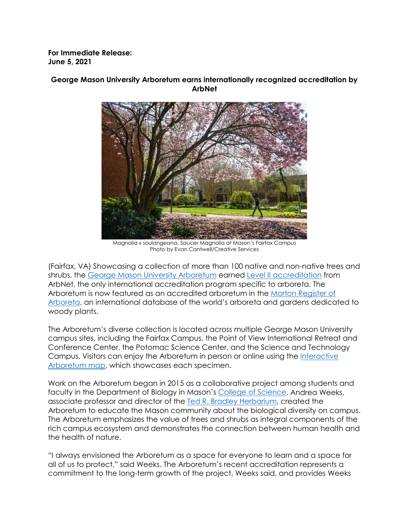**For Immediate Release: June 5, 2021**



# **George Mason University Arboretum earns internationally recognized accreditation by ArbNet**

Magnolia x soulangeana, Saucer Magnolia at Mason's Fairfax Campus Photo by Evan Cantwell/Creative Services

(Fairfax, VA) Showcasing a collection of more than 100 native and non-native trees and shrubs, the [George Mason University Arboretum](http://www.arbnet.org/morton-register/george-mason-university-arboretum) earned [Level II accreditation](http://www.arbnet.org/morton-register/george-mason-university-arboretum) from ArbNet, the only international accreditation program specific to arboreta. The Arboretum is now featured as an accredited arboretum in the [Morton Register of](http://arbnet.org/morton-register/george-mason-university-arboretum)  [Arboreta,](http://arbnet.org/morton-register/george-mason-university-arboretum) an international database of the world's arboreta and gardens dedicated to woody plants.

The Arboretum's diverse collection is located across multiple George Mason University campus sites, including the Fairfax Campus, the Point of View International Retreat and Conference Center, the Potomac Science Center, and the Science and Technology Campus. Visitors can enjoy the Arboretum in person or online using the [interactive](https://go.gmu.edu/UniversityArboretum)  [Arboretum map,](https://go.gmu.edu/UniversityArboretum) which showcases each specimen.

Work on the Arboretum began in 2015 as a collaborative project among students and faculty in the Department of Biology in Mason's [College of Science.](https://science.gmu.edu/) Andrea Weeks, associate professor and director of the [Ted R. Bradley Herbarium,](https://science.gmu.edu/academics/departments-units/biology/facilities-centers/ted-r-bradley-herbarium) created the Arboretum to educate the Mason community about the biological diversity on campus. The Arboretum emphasizes the value of trees and shrubs as integral components of the rich campus ecosystem and demonstrates the connection between human health and the health of nature.

"I always envisioned the Arboretum as a space for everyone to learn and a space for all of us to protect," said Weeks. The Arboretum's recent accreditation represents a commitment to the long-term growth of the project, Weeks said, and provides Weeks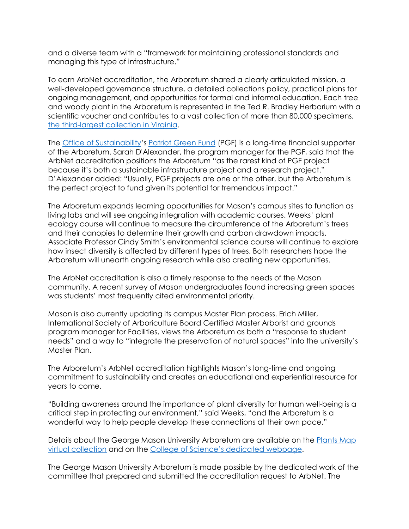and a diverse team with a "framework for maintaining professional standards and managing this type of infrastructure."

To earn ArbNet accreditation, the Arboretum shared a clearly articulated mission, a well-developed governance structure, a detailed collections policy, practical plans for ongoing management, and opportunities for formal and informal education. Each tree and woody plant in the Arboretum is represented in the Ted R. Bradley Herbarium with a scientific voucher and contributes to a vast collection of more than 80,000 specimens, [the third-largest collection in Virginia.](http://sweetgum.nybg.org/science/ih/herbarium-list/?AddPhysState=Virginia&sortBy=NamOrganisation)

The **[Office of Sustainability'](https://green.gmu.edu/)s [Patriot Green Fund](https://go.gmu.edu/PGF)** (PGF) is a long-time financial supporter of the Arboretum. Sarah D'Alexander, the program manager for the PGF, said that the ArbNet accreditation positions the Arboretum "as the rarest kind of PGF project because it's both a sustainable infrastructure project and a research project." D'Alexander added: "Usually, PGF projects are one or the other, but the Arboretum is the perfect project to fund given its potential for tremendous impact."

The Arboretum expands learning opportunities for Mason's campus sites to function as living labs and will see ongoing integration with academic courses. Weeks' plant ecology course will continue to measure the circumference of the Arboretum's trees and their canopies to determine their growth and carbon drawdown impacts. Associate Professor Cindy Smith's environmental science course will continue to explore how insect diversity is affected by different types of trees. Both researchers hope the Arboretum will unearth ongoing research while also creating new opportunities.

The ArbNet accreditation is also a timely response to the needs of the Mason community. A recent survey of Mason undergraduates found increasing green spaces was students' most frequently cited environmental priority.

Mason is also currently updating its campus Master Plan process. Erich Miller, International Society of Arboriculture Board Certified Master Arborist and grounds program manager for Facilities, views the Arboretum as both a "response to student needs" and a way to "integrate the preservation of natural spaces" into the university's Master Plan.

The Arboretum's ArbNet accreditation highlights Mason's long-time and ongoing commitment to sustainability and creates an educational and experiential resource for years to come.

"Building awareness around the importance of plant diversity for human well-being is a critical step in protecting our environment," said Weeks, "and the Arboretum is a wonderful way to help people develop these connections at their own pace."

Details about the George Mason University Arboretum are available on the [Plants Map](https://go.gmu.edu/UniversityArboretum)  [virtual collection](https://go.gmu.edu/UniversityArboretum) and on the [College of Science's dedicated webpage.](https://science.gmu.edu/academics/departments-units/biology/facilities-centers/arboretum)

The George Mason University Arboretum is made possible by the dedicated work of the committee that prepared and submitted the accreditation request to ArbNet. The